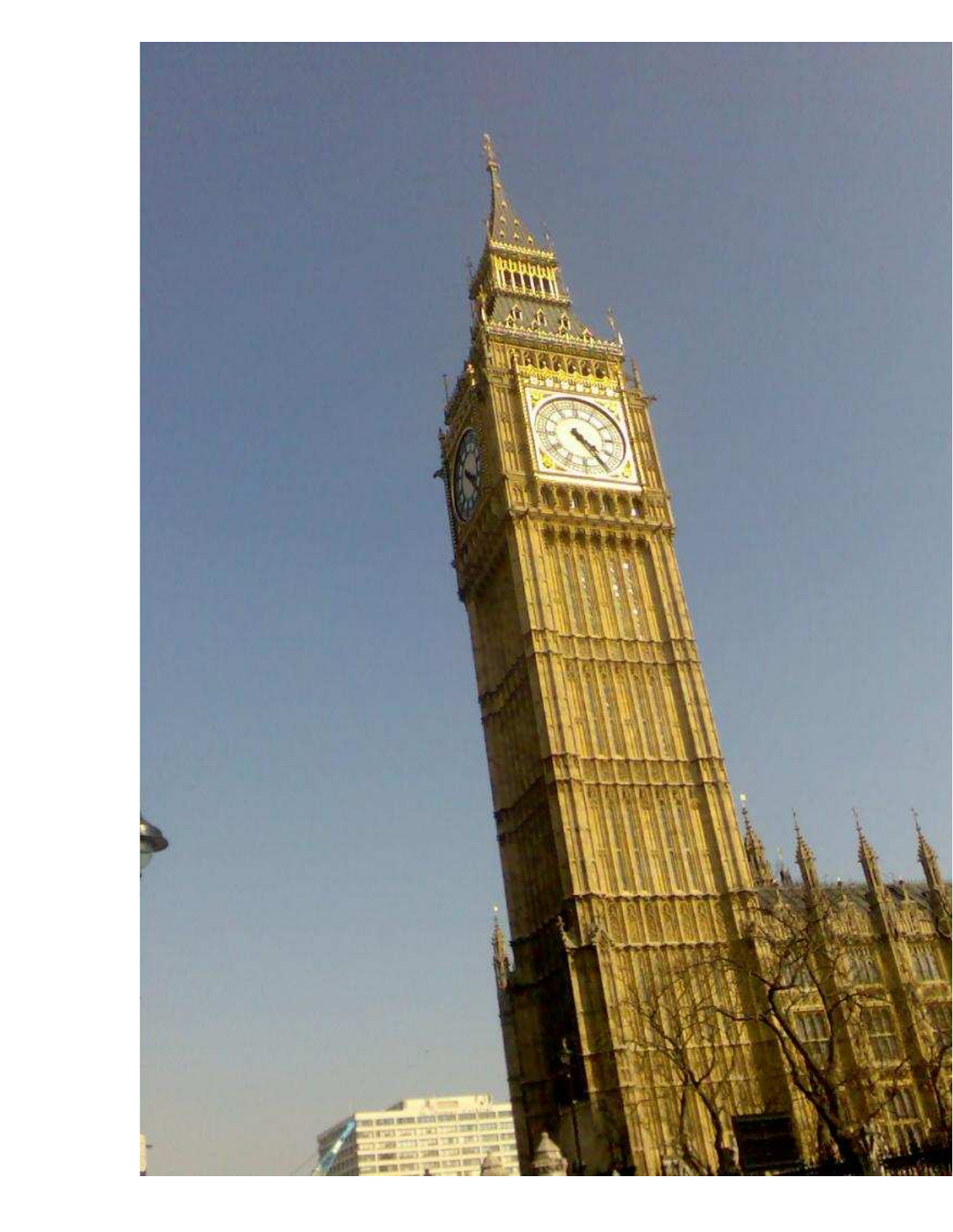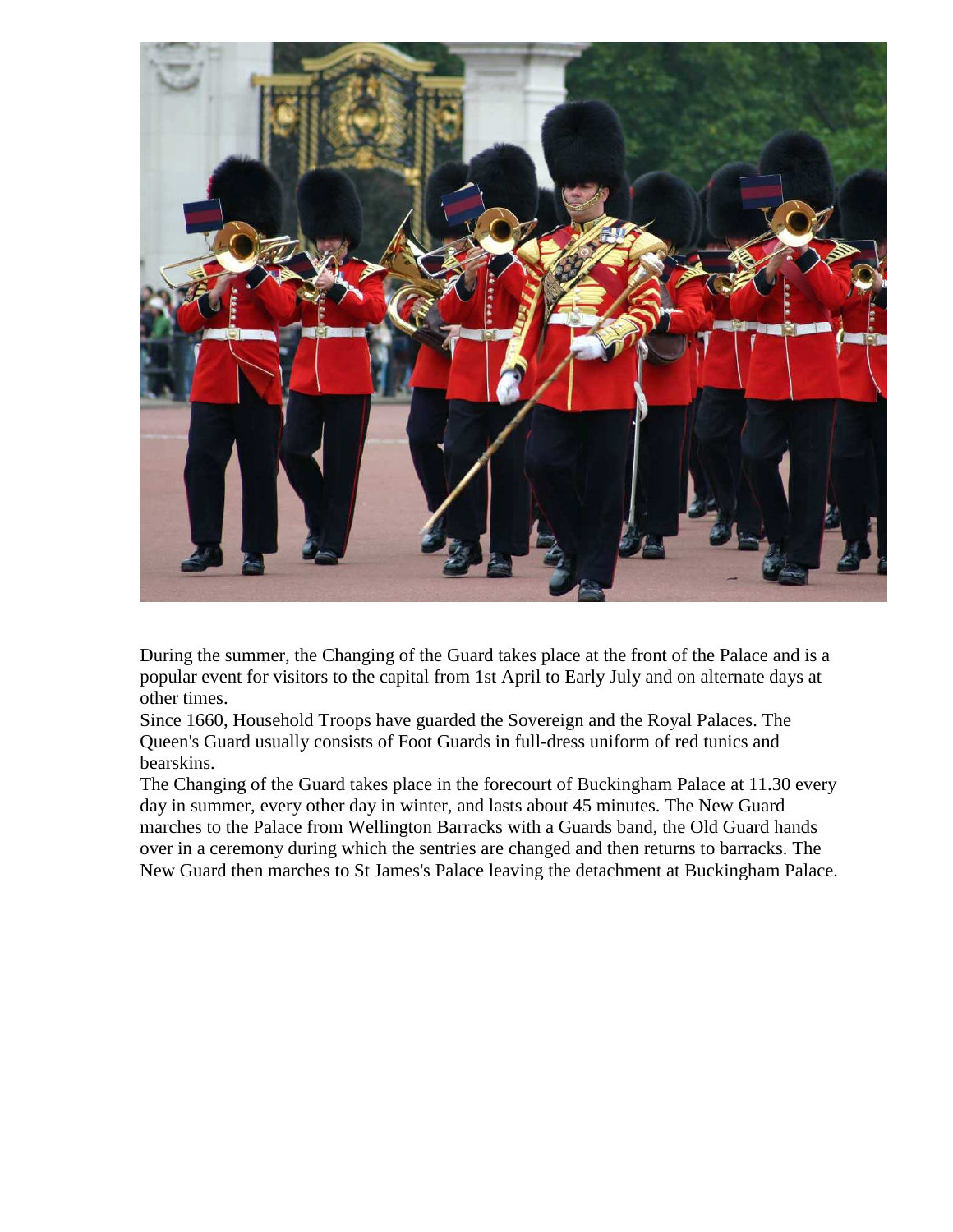

During the summer, the Changing of the Guard takes place at the front of the Palace and is a popular event for visitors to the capital from 1st April to Early July and on alternate days at other times.

Since 1660, Household Troops have guarded the Sovereign and the Royal Palaces. The Queen's Guard usually consists of Foot Guards in full-dress uniform of red tunics and bearskins.

The Changing of the Guard takes place in the forecourt of Buckingham Palace at 11.30 every day in summer, every other day in winter, and lasts about 45 minutes. The New Guard marches to the Palace from Wellington Barracks with a Guards band, the Old Guard hands over in a ceremony during which the sentries are changed and then returns to barracks. The New Guard then marches to St James's Palace leaving the detachment at Buckingham Palace.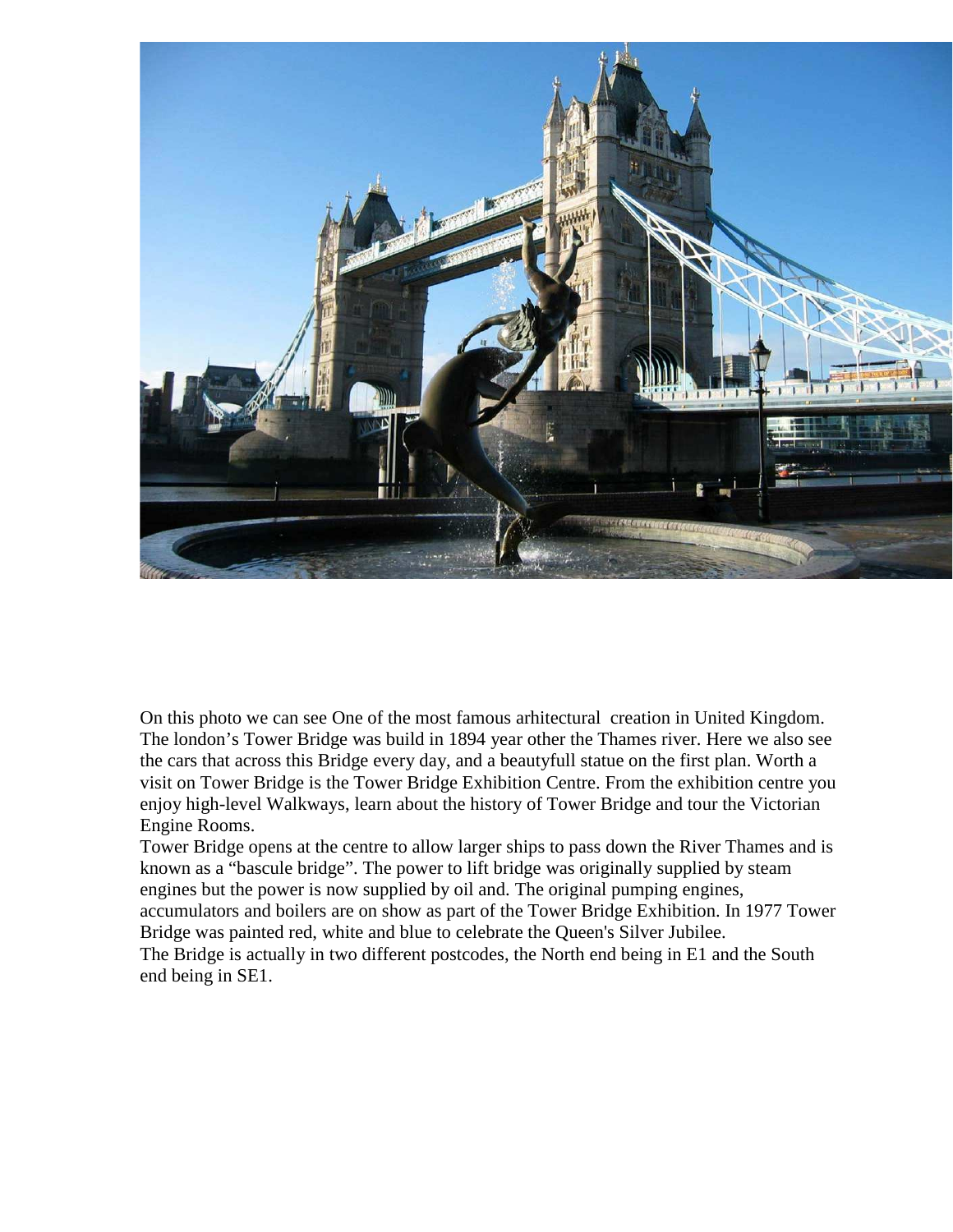

On this photo we can see One of the most famous arhitectural creation in United Kingdom. The london's Tower Bridge was build in 1894 year other the Thames river. Here we also see the cars that across this Bridge every day, and a beautyfull statue on the first plan. Worth a visit on Tower Bridge is the Tower Bridge Exhibition Centre. From the exhibition centre you enjoy high-level Walkways, learn about the history of Tower Bridge and tour the Victorian Engine Rooms.

Tower Bridge opens at the centre to allow larger ships to pass down the River Thames and is known as a "bascule bridge". The power to lift bridge was originally supplied by steam engines but the power is now supplied by oil and. The original pumping engines, accumulators and boilers are on show as part of the Tower Bridge Exhibition. In 1977 Tower Bridge was painted red, white and blue to celebrate the Queen's Silver Jubilee. The Bridge is actually in two different postcodes, the North end being in E1 and the South end being in SE1.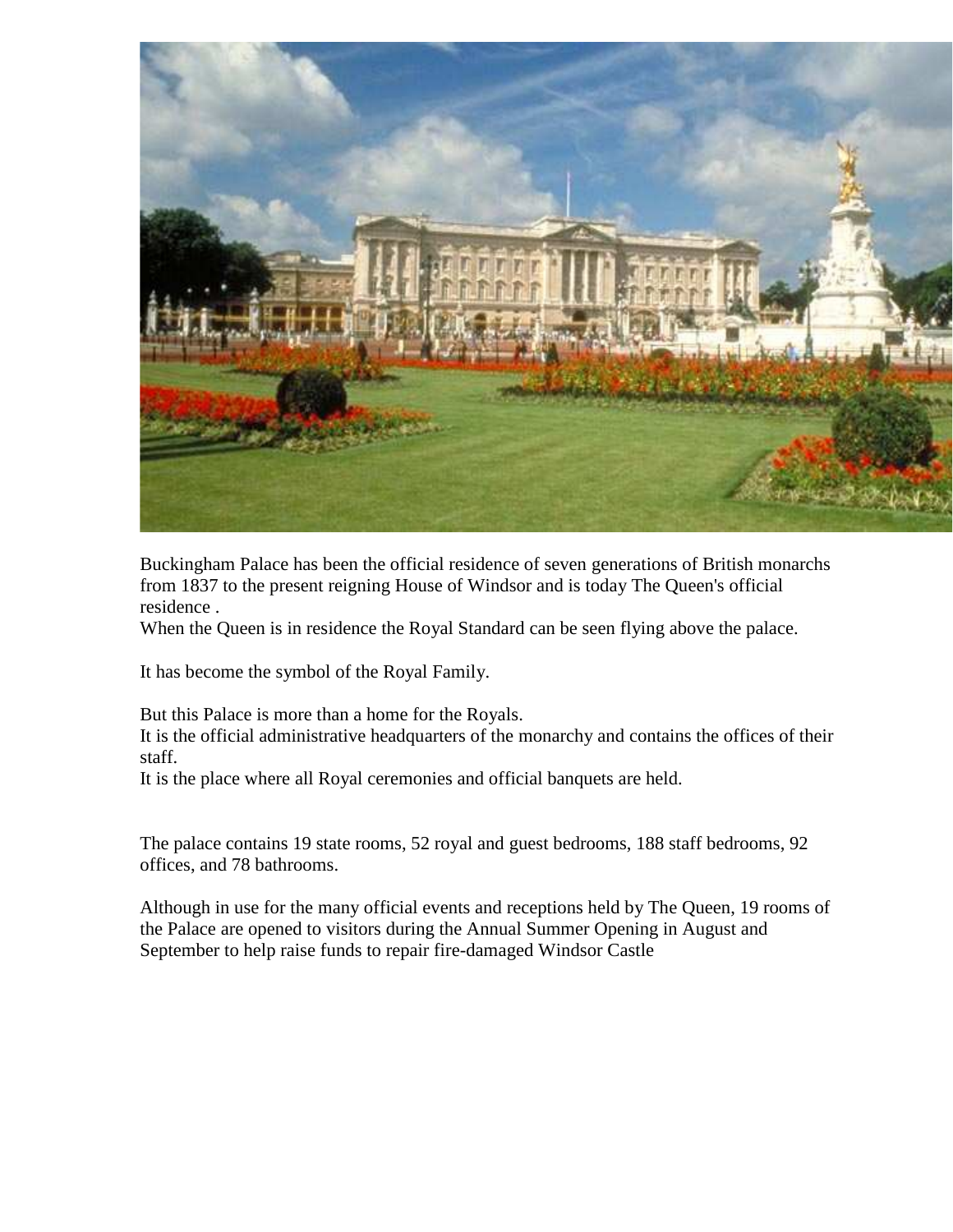

Buckingham Palace has been the official residence of seven generations of British monarchs from 1837 to the present reigning House of Windsor and is today The Queen's official residence .

When the Queen is in residence the Royal Standard can be seen flying above the palace.

It has become the symbol of the Royal Family.

But this Palace is more than a home for the Royals.

It is the official administrative headquarters of the monarchy and contains the offices of their staff.

It is the place where all Royal ceremonies and official banquets are held.

The palace contains 19 state rooms, 52 royal and guest bedrooms, 188 staff bedrooms, 92 offices, and 78 bathrooms.

Although in use for the many official events and receptions held by The Queen, 19 rooms of the Palace are opened to visitors during the Annual Summer Opening in August and September to help raise funds to repair fire-damaged Windsor Castle